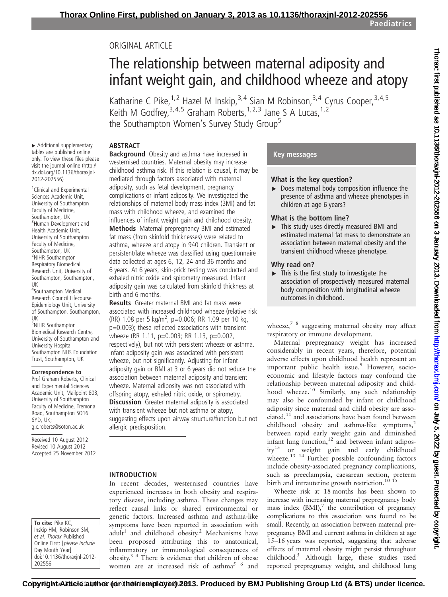Paediatrics

## ORIGINAL ARTICLE

# The relationship between maternal adiposity and infant weight gain, and childhood wheeze and atopy

Katharine C Pike, <sup>1, 2</sup> Hazel M Inskip, <sup>3, 4</sup> Sian M Robinson, <sup>3, 4</sup> Cyrus Cooper, <sup>3, 4, 5</sup> Keith M Godfrey,  $3,4,5$  Graham Roberts,  $1,2,3$  Jane S A Lucas,  $1,2$ the Southampton Women's Survey Study Group<sup>5</sup>

## **ABSTRACT**

▸ Additional supplementary tables are published online only. To view these files please visit the journal online (http:// dx.doi.org/10.1136/thoraxjnl-2012-202556)

<sup>1</sup> Clinical and Experimental Sciences Academic Unit, University of Southampton Faculty of Medicine, Southampton, UK <sup>3</sup>Human Development and Health Academic Unit, University of Southampton Faculty of Medicine, Southampton, UK <sup>2</sup>NIHR Southampton Respiratory Biomedical Research Unit, University of Southampton, Southampton, UK

4 Southampton Medical Research Council Lifecourse Epidemiology Unit, University of Southampton, Southampton, UK

5 NIHR Southampton Biomedical Research Centre, University of Southampton and University Hospital Southampton NHS Foundation Trust, Southampton, UK

#### Correspondence to

Prof Graham Roberts, Clinical and Experimental Sciences Academic Unit, Mailpoint 803, University of Southampton Faculty of Medicine, Tremona Road, Southampton SO16 6YD, UK; g.c.roberts@soton.ac.uk

Received 10 August 2012 Revised 10 August 2012 Accepted 25 November 2012

To cite: Pike KC, Inskip HM, Robinson SM, et al. Thorax Published Online First: [please include Day Month Year] doi:10.1136/thoraxjnl-2012- 202556

Background Obesity and asthma have increased in westernised countries. Maternal obesity may increase childhood asthma risk. If this relation is causal, it may be mediated through factors associated with maternal adiposity, such as fetal development, pregnancy complications or infant adiposity. We investigated the relationships of maternal body mass index (BMI) and fat mass with childhood wheeze, and examined the influences of infant weight gain and childhood obesity.

Methods Maternal prepregnancy BMI and estimated fat mass (from skinfold thicknesses) were related to asthma, wheeze and atopy in 940 children. Transient or persistent/late wheeze was classified using questionnaire data collected at ages 6, 12, 24 and 36 months and 6 years. At 6 years, skin-prick testing was conducted and exhaled nitric oxide and spirometry measured. Infant adiposity gain was calculated from skinfold thickness at birth and 6 months.

Results Greater maternal BMI and fat mass were associated with increased childhood wheeze (relative risk (RR) 1.08 per 5 kg/m<sup>2</sup>, p=0.006; RR 1.09 per 10 kg, p=0.003); these reflected associations with transient wheeze (RR 1.11, p=0.003; RR 1.13, p=0.002, respectively), but not with persistent wheeze or asthma. Infant adiposity gain was associated with persistent wheeze, but not significantly. Adjusting for infant adiposity gain or BMI at 3 or 6 years did not reduce the association between maternal adiposity and transient wheeze. Maternal adiposity was not associated with offspring atopy, exhaled nitric oxide, or spirometry. **Discussion** Greater maternal adiposity is associated with transient wheeze but not asthma or atopy, suggesting effects upon airway structure/function but not allergic predisposition.

#### INTRODUCTION

In recent decades, westernised countries have experienced increases in both obesity and respiratory disease, including asthma. These changes may reflect causal links or shared environmental or genetic factors. Increased asthma and asthma-like symptoms have been reported in association with  $adult<sup>1</sup>$  and childhood obesity.<sup>2</sup> Mechanisms have been proposed attributing this to anatomical, inflammatory or immunological consequences of obesity.3 4 There is evidence that children of obese women are at increased risk of asthma<sup>5 6</sup> and

#### Key messages

#### What is the key question?

▸ Does maternal body composition influence the presence of asthma and wheeze phenotypes in children at age 6 years?

#### What is the bottom line?

▸ This study uses directly measured BMI and estimated maternal fat mass to demonstrate an association between maternal obesity and the transient childhood wheeze phenotype.

#### Why read on?

 $\triangleright$  This is the first study to investigate the association of prospectively measured maternal body composition with longitudinal wheeze outcomes in childhood.

wheeze, $78$  suggesting maternal obesity may affect respiratory or immune development.

Maternal prepregnancy weight has increased considerably in recent years, therefore, potential adverse effects upon childhood health represent an important public health issue.<sup>9</sup> However, socioeconomic and lifestyle factors may confound the relationship between maternal adiposity and childhood wheeze.<sup>10</sup> Similarly, any such relationship may also be confounded by infant or childhood adiposity since maternal and child obesity are associated, $11$  and associations have been found between childhood obesity and asthma-like symptoms, $2$ between rapid early weight gain and diminished infant lung function, $12$  and between infant adiposity<sup>13</sup> or weight gain and early childhood wheeze.<sup>13</sup> <sup>14</sup> Further possible confounding factors include obesity-associated pregnancy complications, such as preeclampsia, caesarean section, preterm birth and intrauterine growth restriction.<sup>10</sup> <sup>15</sup>

Wheeze risk at 18 months has been shown to increase with increasing maternal prepregnancy body mass index  $(BMI)$ ,<sup>7</sup> the contribution of pregnancy complications to this association was found to be small. Recently, an association between maternal prepregnancy BMI and current asthma in children at age 15–16 years was reported, suggesting that adverse effects of maternal obesity might persist throughout childhood.5 Although large, these studies used reported prepregnancy weight, and childhood lung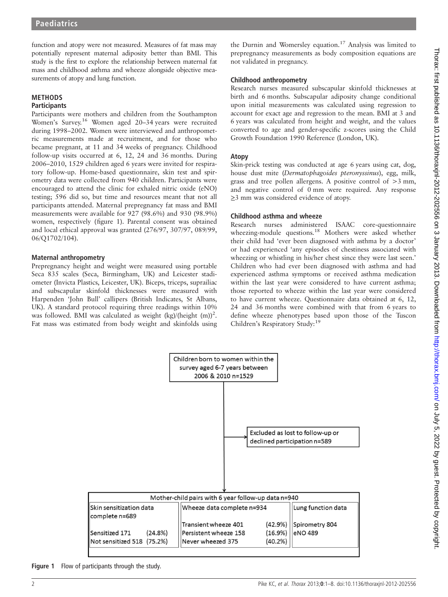function and atopy were not measured. Measures of fat mass may potentially represent maternal adiposity better than BMI. This study is the first to explore the relationship between maternal fat mass and childhood asthma and wheeze alongside objective measurements of atopy and lung function.

#### METHODS **Participants**

Participants were mothers and children from the Southampton Women's Survey.<sup>16</sup> Women aged 20–34 years were recruited during 1998–2002. Women were interviewed and anthropometric measurements made at recruitment, and for those who became pregnant, at 11 and 34 weeks of pregnancy. Childhood follow-up visits occurred at 6, 12, 24 and 36 months. During 2006–2010, 1529 children aged 6 years were invited for respiratory follow-up. Home-based questionnaire, skin test and spirometry data were collected from 940 children. Participants were encouraged to attend the clinic for exhaled nitric oxide (eNO) testing; 596 did so, but time and resources meant that not all participants attended. Maternal prepregnancy fat mass and BMI measurements were available for 927 (98.6%) and 930 (98.9%) women, respectively (figure 1). Parental consent was obtained and local ethical approval was granted (276/97, 307/97, 089/99, 06/Q1702/104).

#### Maternal anthropometry

Prepregnancy height and weight were measured using portable Seca 835 scales (Seca, Birmingham, UK) and Leicester stadiometer (Invicta Plastics, Leicester, UK). Biceps, triceps, suprailiac and subscapular skinfold thicknesses were measured with Harpenden 'John Bull' callipers (British Indicates, St Albans, UK). A standard protocol requiring three readings within 10% was followed. BMI was calculated as weight (kg)/(height (m))<sup>2</sup>. Fat mass was estimated from body weight and skinfolds using

the Durnin and Womersley equation.<sup>17</sup> Analysis was limited to prepregnancy measurements as body composition equations are not validated in pregnancy.

#### Childhood anthropometry

Research nurses measured subscapular skinfold thicknesses at birth and 6 months. Subscapular adiposity change conditional upon initial measurements was calculated using regression to account for exact age and regression to the mean. BMI at 3 and 6 years was calculated from height and weight, and the values converted to age and gender-specific z-scores using the Child Growth Foundation 1990 Reference (London, UK).

#### Atopy

Skin-prick testing was conducted at age 6 years using cat, dog, house dust mite (Dermatophagoides pteronyssinus), egg, milk, grass and tree pollen allergens. A positive control of >3 mm, and negative control of 0 mm were required. Any response ≥3 mm was considered evidence of atopy.

#### Childhood asthma and wheeze

Research nurses administered ISAAC core-questionnaire wheezing-module questions.<sup>18</sup> Mothers were asked whether their child had 'ever been diagnosed with asthma by a doctor' or had experienced 'any episodes of chestiness associated with wheezing or whistling in his/her chest since they were last seen.' Children who had ever been diagnosed with asthma and had experienced asthma symptoms or received asthma medication within the last year were considered to have current asthma; those reported to wheeze within the last year were considered to have current wheeze. Questionnaire data obtained at 6, 12, 24 and 36 months were combined with that from 6 years to define wheeze phenotypes based upon those of the Tuscon Children's Respiratory Study:<sup>19</sup>



Figure 1 Flow of participants through the study.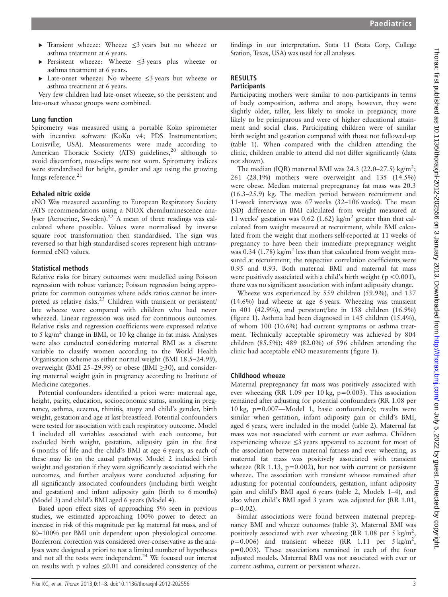- ▸ Transient wheeze: Wheeze ≤3 years but no wheeze or asthma treatment at 6 years.
- ▸ Persistent wheeze: Wheeze ≤3 years plus wheeze or asthma treatment at 6 years.
- ▸ Late-onset wheeze: No wheeze ≤3 years but wheeze or asthma treatment at 6 years.

Very few children had late-onset wheeze, so the persistent and late-onset wheeze groups were combined.

#### Lung function

Spirometry was measured using a portable Koko spirometer with incentive software (KoKo v4; PDS Instrumentation; Louisville, USA). Measurements were made according to American Thoracic Society (ATS) guidelines,<sup>20</sup> although to avoid discomfort, nose-clips were not worn. Spirometry indices were standardised for height, gender and age using the growing lungs reference. $21$ 

#### Exhaled nitric oxide

eNO Was measured according to European Respiratory Society /ATS recommendations using a NIOX chemiluminescence analyser (Aerocrine, Sweden).<sup>22</sup> A mean of three readings was calculated where possible. Values were normalised by inverse square root transformation then standardised. The sign was reversed so that high standardised scores represent high untransformed eNO values.

#### Statistical methods

Relative risks for binary outcomes were modelled using Poisson regression with robust variance; Poisson regression being appropriate for common outcomes where odds ratios cannot be interpreted as relative risks.<sup>23</sup> Children with transient or persistent/ late wheeze were compared with children who had never wheezed. Linear regression was used for continuous outcomes. Relative risks and regression coefficients were expressed relative to 5 kg/m<sup>2</sup> change in BMI, or 10 kg change in fat mass. Analyses were also conducted considering maternal BMI as a discrete variable to classify women according to the World Health Organisation scheme as either normal weight (BMI 18.5–24.99), overweight (BMI 25–29.99) or obese (BMI ≥30), and considering maternal weight gain in pregnancy according to Institute of Medicine categories.

Potential confounders identified a priori were: maternal age, height, parity, education, socioeconomic status, smoking in pregnancy, asthma, eczema, rhinitis, atopy and child's gender, birth weight, gestation and age at last breastfeed. Potential confounders were tested for association with each respiratory outcome. Model 1 included all variables associated with each outcome, but excluded birth weight, gestation, adiposity gain in the first 6 months of life and the child's BMI at age 6 years, as each of these may lie on the causal pathway. Model 2 included birth weight and gestation if they were significantly associated with the outcomes, and further analyses were conducted adjusting for all significantly associated confounders (including birth weight and gestation) and infant adiposity gain (birth to 6 months) (Model 3) and child's BMI aged 6 years (Model 4).

Based upon effect sizes of approaching 5% seen in previous studies, we estimated approaching 100% power to detect an increase in risk of this magnitude per kg maternal fat mass, and of 80–100% per BMI unit dependent upon physiological outcome. Bonferroni correction was considered over-conservative as the analyses were designed a priori to test a limited number of hypotheses and not all the tests were independent.<sup>24</sup> We focused our interest on results with p values ≤0.01 and considered consistency of the

findings in our interpretation. Stata 11 (Stata Corp, College Station, Texas, USA) was used for all analyses.

## RESULTS

## **Participants**

Participating mothers were similar to non-participants in terms of body composition, asthma and atopy, however, they were slightly older, taller, less likely to smoke in pregnancy, more likely to be primiparous and were of higher educational attainment and social class. Participating children were of similar birth weight and gestation compared with those not followed-up (table 1). When compared with the children attending the clinic, children unable to attend did not differ significantly (data not shown).

The median (IQR) maternal BMI was 24.3 (22.0–27.5) kg/m<sup>2</sup>; 261 (28.1%) mothers were overweight and 135 (14.5%) were obese. Median maternal prepregnancy fat mass was 20.3 (16.3–25.9) kg. The median period between recruitment and 11-week interviews was 67 weeks (32–106 weeks). The mean (SD) difference in BMI calculated from weight measured at 11 weeks' gestation was 0.62 (1.62) kg/m<sup>2</sup> greater than that calculated from weight measured at recruitment, while BMI calculated from the weight that mothers self-reported at 11 weeks of pregnancy to have been their immediate prepregnancy weight was 0.34 (1.78) kg/m<sup>2</sup> less than that calculated from weight measured at recruitment; the respective correlation coefficients were 0.95 and 0.93. Both maternal BMI and maternal fat mass were positively associated with a child's birth weight ( $p < 0.001$ ), there was no significant association with infant adiposity change.

Wheeze was experienced by 559 children (59.9%), and 137 (14.6%) had wheeze at age 6 years. Wheezing was transient in 401 (42.9%), and persistent/late in 158 children (16.9%) (figure 1). Asthma had been diagnosed in 145 children (15.4%), of whom 100 (10.6%) had current symptoms or asthma treatment. Technically acceptable spirometry was achieved by 804 children (85.5%); 489 (82.0%) of 596 children attending the clinic had acceptable eNO measurements (figure 1).

#### Childhood wheeze

Maternal prepregnancy fat mass was positively associated with ever wheezing (RR 1.09 per 10 kg, p=0.003). This association remained after adjusting for potential confounders (RR 1.08 per 10 kg, p=0.007—Model 1, basic confounders); results were similar when gestation, infant adiposity gain or child's BMI, aged 6 years, were included in the model (table 2). Maternal fat mass was not associated with current or ever asthma. Children experiencing wheeze ≤3 years appeared to account for most of the association between maternal fatness and ever wheezing, as maternal fat mass was positively associated with transient wheeze (RR 1.13,  $p=0.002$ ), but not with current or persistent wheeze. The association with transient wheeze remained after adjusting for potential confounders, gestation, infant adiposity gain and child's BMI aged 6 years (table 2, Models 1–4), and also when child's BMI aged 3 years was adjusted for (RR 1.01,  $p=0.02$ ).

Similar associations were found between maternal prepregnancy BMI and wheeze outcomes (table 3). Maternal BMI was positively associated with ever wheezing (RR 1.08 per 5 kg/m<sup>2</sup>,  $p=0.006$ ) and transient wheeze (RR 1.11 per 5 kg/m<sup>2</sup>, p=0.003). These associations remained in each of the four adjusted models. Maternal BMI was not associated with ever or current asthma, current or persistent wheeze.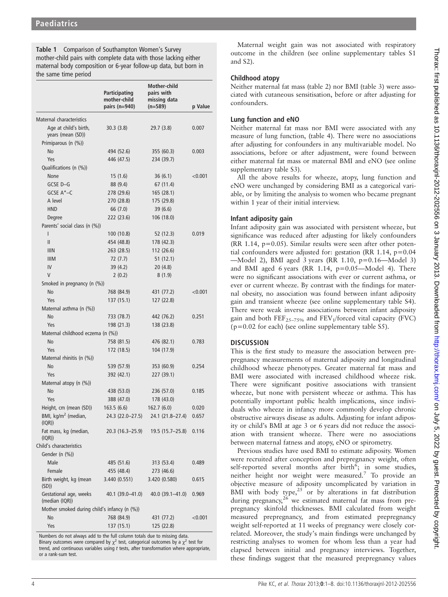Table 1 Comparison of Southampton Women's Survey mother-child pairs with complete data with those lacking either maternal body composition or 6-year follow-up data, but born in the same time period

|                                              | <b>Participating</b><br>mother-child<br>pairs $(n=940)$ | <b>Mother-child</b><br>pairs with<br>missing data<br>(n=589) | p Value |
|----------------------------------------------|---------------------------------------------------------|--------------------------------------------------------------|---------|
| Maternal characteristics                     |                                                         |                                                              |         |
| Age at child's birth,<br>years (mean (SD))   | 30.3(3.8)                                               | 29.7(3.8)                                                    | 0.007   |
| Primiparous (n (%))                          |                                                         |                                                              |         |
| No                                           | 494 (52.6)                                              | 355 (60.3)                                                   | 0.003   |
| Yes                                          | 446 (47.5)                                              | 234 (39.7)                                                   |         |
| Qualifications (n (%))                       |                                                         |                                                              |         |
| None                                         | 15(1.6)                                                 | 36(6.1)                                                      | < 0.001 |
| GCSE D-G                                     | 88 (9.4)                                                | 67 (11.4)                                                    |         |
| GCSE A*-C                                    | 278 (29.6)                                              | 165 (28.1)                                                   |         |
| A level                                      | 270 (28.8)                                              | 175 (29.8)                                                   |         |
| <b>HND</b>                                   | 66 (7.0)                                                | 39(6.6)                                                      |         |
| Degree                                       | 222 (23.6)                                              | 106 (18.0)                                                   |         |
| Parents' social class (n (%))                |                                                         |                                                              |         |
| I                                            | 100 (10.8)                                              | 52 (12.3)                                                    | 0.019   |
| Ш                                            | 454 (48.8)                                              | 178 (42.3)                                                   |         |
| <b>IIIN</b>                                  | 263 (28.5)                                              | 112 (26.6)                                                   |         |
| <b>IIIM</b>                                  | 72 (7.7)                                                | 51(12.1)                                                     |         |
| IV                                           | 39 (4.2)                                                | 20(4.8)                                                      |         |
| V                                            | 2(0.2)                                                  | 8(1.9)                                                       |         |
| Smoked in pregnancy (n (%))                  |                                                         |                                                              |         |
| No                                           | 768 (84.9)                                              | 431 (77.2)                                                   | < 0.001 |
| Yes                                          | 137 (15.1)                                              | 127 (22.8)                                                   |         |
| Maternal asthma (n (%))                      |                                                         |                                                              |         |
| <b>No</b>                                    | 733 (78.7)                                              | 442 (76.2)                                                   | 0.251   |
| Yes                                          | 198 (21.3)                                              | 138 (23.8)                                                   |         |
| Maternal childhood eczema (n (%))            |                                                         |                                                              |         |
| No                                           | 758 (81.5)                                              | 476 (82.1)                                                   | 0.783   |
| Yes                                          | 172 (18.5)                                              | 104 (17.9)                                                   |         |
| Maternal rhinitis (n (%))                    |                                                         |                                                              |         |
| <b>No</b>                                    | 539 (57.9)                                              | 353 (60.9)                                                   | 0.254   |
| Yes                                          | 392 (42.1)                                              | 227 (39.1)                                                   |         |
| Maternal atopy (n (%))                       |                                                         |                                                              |         |
| <b>No</b>                                    | 438 (53.0)                                              | 236 (57.0)                                                   | 0.185   |
| Yes                                          | 388 (47.0)                                              | 178 (43.0)                                                   |         |
| Height, cm (mean (SD))                       | 163.5(6.6)                                              | 162.7(6.0)                                                   | 0.020   |
| BMI, kg/m <sup>2</sup> (median,<br>(IQR))    | 24.3 (22.0-27.5)                                        | 24.1 (21.8-27.4)                                             | 0.657   |
| Fat mass, kg (median,<br>(IQR))              | 20.3 (16.3–25.9)                                        | $19.5(15.7-25.8)$                                            | 0.116   |
| Child's characteristics<br>Gender (n (%))    |                                                         |                                                              |         |
| Male                                         | 485 (51.6)                                              | 313 (53.4)                                                   | 0.489   |
| Female                                       | 455 (48.4)                                              | 273 (46.6)                                                   |         |
| Birth weight, kg (mean<br>(SD)               | 3.440 (0.551)                                           | 3.420 (0.580)                                                | 0.615   |
| Gestational age, weeks<br>(median (IQR))     | 40.1 (39.0–41.0)                                        | 40.0 (39.1–41.0)                                             | 0.969   |
| Mother smoked during child's infancy (n (%)) |                                                         |                                                              |         |
| No                                           | 768 (84.9)                                              | 431 (77.2)                                                   | < 0.001 |
| Yes                                          | 137 (15.1)                                              | 125 (22.8)                                                   |         |

Numbers do not always add to the full column totals due to missing data. Binary outcomes were compared by  $\chi^2$  test, categorical outcomes by a  $\chi^2$  test for trend, and continuous variables using  $t$  tests, after transformation where appropriate, or a rank-sum test.

Maternal weight gain was not associated with respiratory outcome in the children (see online supplementary tables S1 and S2).

## Childhood atopy

Neither maternal fat mass (table 2) nor BMI (table 3) were associated with cutaneous sensitisation, before or after adjusting for confounders.

## Lung function and eNO

Neither maternal fat mass nor BMI were associated with any measure of lung function, (table 4). There were no associations after adjusting for confounders in any multivariable model. No associations, before or after adjustment, were found between either maternal fat mass or maternal BMI and eNO (see online supplementary table S3).

All the above results for wheeze, atopy, lung function and eNO were unchanged by considering BMI as a categorical variable, or by limiting the analysis to women who became pregnant within 1 year of their initial interview.

## Infant adiposity gain

Infant adiposity gain was associated with persistent wheeze, but significance was reduced after adjusting for likely confounders  $(RR 1.14, p=0.05)$ . Similar results were seen after other potential confounders were adjusted for: gestation (RR 1.14,  $p=0.04$ ) —Model 2), BMI aged 3 years (RR 1.10, p=0.16—Model 3) and BMI aged 6 years (RR 1.14,  $p=0.05$ —Model 4). There were no significant associations with ever or current asthma, or ever or current wheeze. By contrast with the findings for maternal obesity, no association was found between infant adiposity gain and transient wheeze (see online supplementary table S4). There were weak inverse associations between infant adiposity gain and both  $\text{FEF}_{25-75\%}$  and  $\text{FEV}_1/\text{forced}$  vital capacity (FVC)  $(p=0.02$  for each) (see online supplementary table S5).

## **DISCUSSION**

This is the first study to measure the association between prepregnancy measurements of maternal adiposity and longitudinal childhood wheeze phenotypes. Greater maternal fat mass and BMI were associated with increased childhood wheeze risk. There were significant positive associations with transient wheeze, but none with persistent wheeze or asthma. This has potentially important public health implications, since individuals who wheeze in infancy more commonly develop chronic obstructive airways disease as adults. Adjusting for infant adiposity or child's BMI at age 3 or 6 years did not reduce the association with transient wheeze. There were no associations between maternal fatness and atopy, eNO or spirometry.

Previous studies have used BMI to estimate adiposity. Women were recruited after conception and prepregnancy weight, often self-reported several months after  $\overline{birth}^6$ ; in some studies, neither height nor weight were measured.<sup>7</sup> To provide an objective measure of adiposity uncomplicated by variation in BMI with body type, $25$  or by alterations in fat distribution during pregnancy, $26$  we estimated maternal fat mass from prepregnancy skinfold thicknesses. BMI calculated from weight measured prepregnancy, and from estimated prepregnancy weight self-reported at 11 weeks of pregnancy were closely correlated. Moreover, the study's main findings were unchanged by restricting analyses to women for whom less than a year had elapsed between initial and pregnancy interviews. Together, these findings suggest that the measured prepregnancy values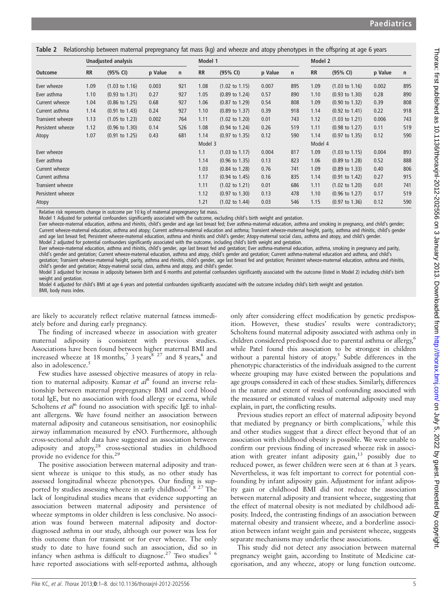| Table 2 Relationship between maternal prepregnancy fat mass (kg) and wheeze and atopy phenotypes in the offspring at age 6 years |  |  |
|----------------------------------------------------------------------------------------------------------------------------------|--|--|
|                                                                                                                                  |  |  |

|                   |           | <b>Unadjusted analysis</b> |         |              | Model 1   |                           |         |     |           | Model 2                   |         |     |  |  |
|-------------------|-----------|----------------------------|---------|--------------|-----------|---------------------------|---------|-----|-----------|---------------------------|---------|-----|--|--|
| <b>Outcome</b>    | <b>RR</b> | (95% CI)                   | p Value | $\mathsf{n}$ | <b>RR</b> | (95% CI)                  | p Value | n   | <b>RR</b> | (95% CI)                  | p Value | n   |  |  |
| Ever wheeze       | 1.09      | $(1.03 \text{ to } 1.16)$  | 0.003   | 921          | 1.08      | $(1.02 \text{ to } 1.15)$ | 0.007   | 895 | 1.09      | $(1.03 \text{ to } 1.16)$ | 0.002   | 895 |  |  |
| Ever asthma       | 1.10      | $(0.93 \text{ to } 1.31)$  | 0.27    | 927          | 1.05      | $(0.89 \text{ to } 1.24)$ | 0.57    | 890 | 1.10      | $(0.93 \text{ to } 1.30)$ | 0.28    | 890 |  |  |
| Current wheeze    | 1.04      | $(0.86 \text{ to } 1.25)$  | 0.68    | 927          | 1.06      | $(0.87 \text{ to } 1.29)$ | 0.54    | 808 | 1.09      | $(0.90 \text{ to } 1.32)$ | 0.39    | 808 |  |  |
| Current asthma    | 1.14      | $(0.91 \text{ to } 1.43)$  | 0.24    | 927          | 1.10      | $(0.89 \text{ to } 1.37)$ | 0.39    | 918 | 1.14      | $(0.92 \text{ to } 1.41)$ | 0.22    | 918 |  |  |
| Transient wheeze  | 1.13      | $(1.05 \text{ to } 1.23)$  | 0.002   | 764          | 1.11      | $(1.02 \text{ to } 1.20)$ | 0.01    | 743 | 1.12      | $(1.03 \text{ to } 1.21)$ | 0.006   | 743 |  |  |
| Persistent wheeze | 1.12      | $(0.96 \text{ to } 1.30)$  | 0.14    | 526          | 1.08      | $(0.94 \text{ to } 1.24)$ | 0.26    | 519 | 1.11      | $(0.98 \text{ to } 1.27)$ | 0.11    | 519 |  |  |
| Atopy             | 1.07      | $(0.91 \text{ to } 1.25)$  | 0.43    | 681          | 1.14      | $(0.97 \text{ to } 1.35)$ | 0.12    | 590 | 1.14      | $(0.97 \text{ to } 1.35)$ | 0.12    | 590 |  |  |
|                   |           |                            |         |              | Model 3   |                           |         |     | Model 4   |                           |         |     |  |  |
| Ever wheeze       |           |                            |         |              | 1.1       | $(1.03 \text{ to } 1.17)$ | 0.004   | 817 | 1.09      | $(1.03 \text{ to } 1.15)$ | 0.004   | 893 |  |  |
| Ever asthma       |           |                            |         |              | 1.14      | $(0.96 \text{ to } 1.35)$ | 0.13    | 823 | 1.06      | $(0.89 \text{ to } 1.28)$ | 0.52    | 888 |  |  |
| Current wheeze    |           |                            |         |              | 1.03      | $(0.84 \text{ to } 1.28)$ | 0.76    | 741 | 1.09      | $(0.89 \text{ to } 1.33)$ | 0.40    | 806 |  |  |
| Current asthma    |           |                            |         |              | 1.17      | $(0.94 \text{ to } 1.45)$ | 0.16    | 835 | 1.14      | $(0.91 \text{ to } 1.42)$ | 0.27    | 915 |  |  |
| Transient wheeze  |           |                            |         |              | 1.11      | $(1.02 \text{ to } 1.21)$ | 0.01    | 686 | 1.11      | $(1.02 \text{ to } 1.20)$ | 0.01    | 741 |  |  |
| Persistent wheeze |           |                            |         |              | 1.12      | $(0.97 \text{ to } 1.30)$ | 0.13    | 478 | 1.10      | $(0.96 \text{ to } 1.27)$ | 0.17    | 519 |  |  |
| Atopy             |           |                            |         |              | 1.21      | $(1.02 \text{ to } 1.44)$ | 0.03    | 546 | 1.15      | $(0.97 \text{ to } 1.36)$ | 0.12    | 590 |  |  |

Relative risk represents change in outcome per 10 kg of maternal prepregnancy fat mass.

Model 1 Adjusted for potential confounders significantly associated with the outcome, excluding child's birth weight and gestation.

Ever wheeze-maternal education, asthma and rhinitis, child's gender and age last breast fed; Ever asthma-maternal education, asthma and smoking in pregnancy, and child's gender; Current wheeze-maternal education, asthma and atopy; Current asthma-maternal education and asthma; Transient wheeze-maternal height, parity, asthma and rhinitis, child's gender and age last breast fed; Persistent wheeze-maternal education, asthma and rhinitis and child's gender; Atopy-maternal social class, asthma and atopy, and child's gender. Model 2 adjusted for potential confounders significantly associated with the outcome, including child's birth weight and gestation.

Ever wheeze-maternal education, asthma and rhinitis, child's gender, age last breast fed and gestation; Ever asthma-maternal education, asthma, smoking in pregnancy and parity, child's gender and gestation; Current wheeze-maternal education, asthma and atopy, child's gender and gestation; Current asthma-maternal education and asthma, and child's gestation; Transient wheeze-maternal height, parity, asthma and rhinitis, child's gender, age last breast fed and gestation; Persistent wheeze-maternal education, asthma and rhinitis, child's gender and gestation; Atopy-maternal social class, asthma and atopy, and child's gender.

Model 3 adjusted for increase in adiposity between birth and 6 months and potential confounders significantly associated with the outcome (listed in Model 2) including child's birth weight and gestation.

Model 4 adjusted for child's BMI at age 6 years and potential confounders significantly associated with the outcome including child's birth weight and gestation. BMI, body mass index.

are likely to accurately reflect relative maternal fatness immediately before and during early pregnancy.

The finding of increased wheeze in association with greater maternal adiposity is consistent with previous studies. Associations have been found between higher maternal BMI and increased wheeze at 18 months,<sup>7</sup> 3 years,<sup>8 27</sup> and 8 years,<sup>6</sup> and also in adolescence.<sup>5</sup>

Few studies have assessed objective measures of atopy in relation to maternal adiposity. Kumar et  $al^8$  found an inverse relationship between maternal prepregnancy BMI and cord blood total IgE, but no association with food allergy or eczema, while Scholtens et  $al^6$  found no association with specific IgE to inhalant allergens. We have found neither an association between maternal adiposity and cutaneous sensitisation, nor eosinophilic airway inflammation measured by eNO. Furthermore, although cross-sectional adult data have suggested an association between adiposity and atopy,<sup>28</sup> cross-sectional studies in childhood provide no evidence for this.29

The positive association between maternal adiposity and transient wheeze is unique to this study, as no other study has assessed longitudinal wheeze phenotypes. Our finding is supported by studies assessing wheeze in early childhood.<sup>78 27</sup> The lack of longitudinal studies means that evidence supporting an association between maternal adiposity and persistence of wheeze symptoms in older children is less conclusive. No association was found between maternal adiposity and doctordiagnosed asthma in our study, although our power was less for this outcome than for transient or for ever wheeze. The only study to date to have found such an association, did so in infancy when asthma is difficult to diagnose.<sup>27</sup> Two studies<sup>5 6</sup> have reported associations with self-reported asthma, although

only after considering effect modification by genetic predisposition. However, these studies' results were contradictory; Scholtens found maternal adiposity associated with asthma only in children considered predisposed due to parental asthma or allergy,<sup>6</sup> while Patel found this association to be strongest in children without a parental history of atopy.<sup>5</sup> Subtle differences in the phenotypic characteristics of the individuals assigned to the current wheeze grouping may have existed between the populations and age groups considered in each of these studies. Similarly, differences in the nature and extent of residual confounding associated with the measured or estimated values of maternal adiposity used may explain, in part, the conflicting results.

Previous studies report an effect of maternal adiposity beyond that mediated by pregnancy or birth complications,<sup>7</sup> while this and other studies suggest that a direct effect beyond that of an association with childhood obesity is possible. We were unable to confirm our previous finding of increased wheeze risk in association with greater infant adiposity gain,<sup>13</sup> possibly due to reduced power, as fewer children were seen at 6 than at 3 years. Nevertheless, it was felt important to correct for potential confounding by infant adiposity gain. Adjustment for infant adiposity gain or childhood BMI did not reduce the association between maternal adiposity and transient wheeze, suggesting that the effect of maternal obesity is not mediated by childhood adiposity. Indeed, the contrasting findings of an association between maternal obesity and transient wheeze, and a borderline association between infant weight gain and persistent wheeze, suggests separate mechanisms may underlie these associations.

This study did not detect any association between maternal pregnancy weight gain, according to Institute of Medicine categorisation, and any wheeze, atopy or lung function outcome.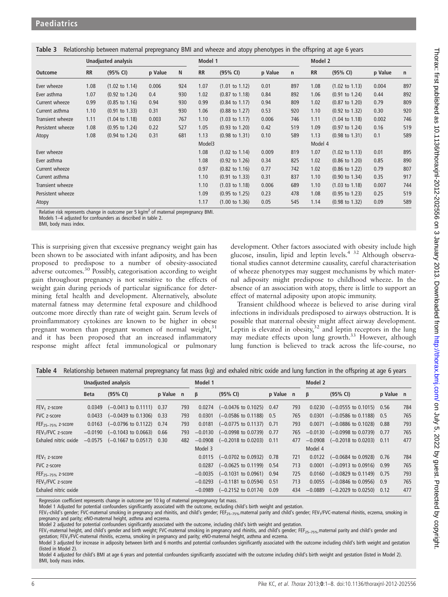|                   |           | <b>Unadjusted analysis</b> |         |     | Model 1   |                           |         |              | Model 2   |                           |         |     |  |
|-------------------|-----------|----------------------------|---------|-----|-----------|---------------------------|---------|--------------|-----------|---------------------------|---------|-----|--|
| <b>Outcome</b>    | <b>RR</b> | (95% CI)                   | p Value | N   | <b>RR</b> | (95% CI)                  | p Value | $\mathsf{n}$ | <b>RR</b> | (95% CI)                  | p Value | n   |  |
| Ever wheeze       | 1.08      | $(1.02 \text{ to } 1.14)$  | 0.006   | 924 | 1.07      | $(1.01 \text{ to } 1.12)$ | 0.01    | 897          | 1.08      | $(1.02 \text{ to } 1.13)$ | 0.004   | 897 |  |
| Ever asthma       | 1.07      | $(0.92 \text{ to } 1.24)$  | 0.4     | 930 | 1.02      | $(0.87 \text{ to } 1.18)$ | 0.84    | 892          | 1.06      | $(0.91 \text{ to } 1.24)$ | 0.44    | 892 |  |
| Current wheeze    | 0.99      | $(0.85 \text{ to } 1.16)$  | 0.94    | 930 | 0.99      | $(0.84 \text{ to } 1.17)$ | 0.94    | 809          | 1.02      | $(0.87 \text{ to } 1.20)$ | 0.79    | 809 |  |
| Current asthma    | 1.10      | $(0.91 \text{ to } 1.33)$  | 0.31    | 930 | 1.06      | $(0.88 \text{ to } 1.27)$ | 0.53    | 920          | 1.10      | $(0.92 \text{ to } 1.32)$ | 0.30    | 920 |  |
| Transient wheeze  | 1.11      | $(1.04 \text{ to } 1.18)$  | 0.003   | 767 | 1.10      | $(1.03 \text{ to } 1.17)$ | 0.006   | 746          | 1.11      | $(1.04 \text{ to } 1.18)$ | 0.002   | 746 |  |
| Persistent wheeze | 1.08      | $(0.95 \text{ to } 1.24)$  | 0.22    | 527 | 1.05      | $(0.93 \text{ to } 1.20)$ | 0.42    | 519          | 1.09      | $(0.97 \text{ to } 1.24)$ | 0.16    | 519 |  |
| Atopy             | 1.08      | $(0.94 \text{ to } 1.24)$  | 0.31    | 681 | 1.13      | $(0.98 \text{ to } 1.31)$ | 0.10    | 589          | 1.13      | $(0.98 \text{ to } 1.31)$ | 0.1     | 589 |  |
|                   |           |                            |         |     | Model3    |                           |         |              | Model 4   |                           |         |     |  |
| Ever wheeze       |           |                            |         |     | 1.08      | $(1.02 \text{ to } 1.14)$ | 0.009   | 819          | 1.07      | $(1.02 \text{ to } 1.13)$ | 0.01    | 895 |  |
| Ever asthma       |           |                            |         |     | 1.08      | $(0.92 \text{ to } 1.26)$ | 0.34    | 825          | 1.02      | $(0.86 \text{ to } 1.20)$ | 0.85    | 890 |  |
| Current wheeze    |           |                            |         |     | 0.97      | $(0.82 \text{ to } 1.16)$ | 0.77    | 742          | 1.02      | $(0.86 \text{ to } 1.22)$ | 0.79    | 807 |  |
| Current asthma    |           |                            |         |     | 1.10      | $(0.91 \text{ to } 1.33)$ | 0.31    | 837          | 1.10      | $(0.90 \text{ to } 1.34)$ | 0.35    | 917 |  |
| Transient wheeze  |           |                            |         |     | 1.10      | $(1.03 \text{ to } 1.18)$ | 0.006   | 689          | 1.10      | $(1.03 \text{ to } 1.18)$ | 0.007   | 744 |  |
| Persistent wheeze |           |                            |         |     | 1.09      | $(0.95 \text{ to } 1.25)$ | 0.23    | 478          | 1.08      | $(0.95 \text{ to } 1.23)$ | 0.25    | 519 |  |
| Atopy             |           |                            |         |     | 1.17      | $(1.00 \text{ to } 1.36)$ | 0.05    | 545          | 1.14      | $(0.98 \text{ to } 1.32)$ | 0.09    | 589 |  |

Table 3 Relationship between maternal prepregnancy BMI and wheeze and atopy phenotypes in the offspring at age 6 years

Relative risk represents change in outcome per 5 kg/ $m^2$  of maternal prepregnancy BMI.

Models 1–4 adjusted for confounders as described in table 2.

BMI, body mass index.

This is surprising given that excessive pregnancy weight gain has been shown to be associated with infant adiposity, and has been proposed to predispose to a number of obesity-associated adverse outcomes.<sup>30</sup> Possibly, categorisation according to weight gain throughout pregnancy is not sensitive to the effects of weight gain during periods of particular significance for determining fetal health and development. Alternatively, absolute maternal fatness may determine fetal exposure and childhood outcome more directly than rate of weight gain. Serum levels of proinflammatory cytokines are known to be higher in obese pregnant women than pregnant women of normal weight, $31$ and it has been proposed that an increased inflammatory response might affect fetal immunological or pulmonary

development. Other factors associated with obesity include high glucose, insulin, lipid and leptin levels.4 32 Although observational studies cannot determine causality, careful characterisation of wheeze phenotypes may suggest mechanisms by which maternal adiposity might predispose to childhood wheeze. In the absence of an association with atopy, there is little to support an effect of maternal adiposity upon atopic immunity.

Transient childhood wheeze is believed to arise during viral infections in individuals predisposed to airways obstruction. It is possible that maternal obesity might affect airway development. Leptin is elevated in obesity, $32$  and leptin receptors in the lung may mediate effects upon lung growth.<sup>33</sup> However, although lung function is believed to track across the life-course, no

|                               |             | Unadjusted analysis                           |           |     | Model 1   |                                               |           |     | Model 2   |                                              |           |     |  |
|-------------------------------|-------------|-----------------------------------------------|-----------|-----|-----------|-----------------------------------------------|-----------|-----|-----------|----------------------------------------------|-----------|-----|--|
|                               | <b>Beta</b> | (95% CI)                                      | p Value n |     | β         | (95% CI)                                      | p Value n |     | β         | (95% CI)                                     | p Value n |     |  |
| $FEV1$ z-score                |             | $0.0349$ $(-0.0413$ to $0.1111)$ 0.37         |           | 793 |           | $0.0274$ $(-0.0476 \text{ to } 0.1025)$ 0.47  |           | 793 |           | $0.0230$ $(-0.0555$ to $0.1015)$ 0.56        |           | 784 |  |
| FVC z-score                   | 0.0433      | $(-0.0439 \text{ to } 0.1306)$ 0.33           |           | 793 | 0.0301    | $(-0.0586 \text{ to } 0.1188)$ 0.5            |           | 765 | 0.0301    | $(-0.0586 \text{ to } 0.1188)$ 0.5           |           | 765 |  |
| FEF <sub>25-75%</sub> z-score |             | $0.0163$ $(-0.0796 \text{ to } 0.1122)$ 0.74  |           | 793 | 0.0181    | $(-0.0775 \text{ to } 0.1137)$ 0.71           |           | 793 | 0.0071    | $(-0.0886 \text{ to } 0.1028)$ 0.88          |           | 793 |  |
| FEV <sub>1</sub> /FVC z-score |             | $-0.0190$ $(-0.1043$ to 0.0663) 0.66          |           | 793 | $-0.0130$ | $(-0.0998 \text{ to } 0.0739)$ 0.77           |           | 765 | $-0.0130$ | $(-0.0998 \text{ to } 0.0739)$ 0.77          |           | 765 |  |
| Exhaled nitric oxide          |             | $-0.0575$ $(-0.1667 \text{ to } 0.0517)$ 0.30 |           | 482 |           | $-0.0908$ $(-0.2018 \text{ to } 0.0203)$ 0.11 |           | 477 |           | $-0.0908$ $(-0.2018$ to 0.0203) 0.11         |           | 477 |  |
|                               |             |                                               |           |     | Model 3   |                                               |           |     | Model 4   |                                              |           |     |  |
| $FEV1$ z-score                |             |                                               |           |     |           | $0.0115$ $(-0.0702 \text{ to } 0.0932)$ 0.78  |           | 721 |           | $0.0122$ $(-0.0684 \text{ to } 0.0928)$ 0.76 |           | 784 |  |
| FVC z-score                   |             |                                               |           |     | 0.0287    | $(-0.0625 \text{ to } 0.1199)$                | 0.54      | 713 | 0.0001    | $(-0.0913 \text{ to } 0.0916)$ 0.99          |           | 765 |  |
| $FEF_{25-75\%}$ z-score       |             |                                               |           |     |           | $-0.0035$ $(-0.1031$ to 0.0961) 0.94          |           | 725 | 0.0160    | $(-0.0829 \text{ to } 0.1149)$ 0.75          |           | 793 |  |
| FEV <sub>1</sub> /FVC z-score |             |                                               |           |     |           | $-0.0293$ $(-0.1181$ to 0.0594) 0.51          |           | 713 |           | $0.0055$ $(-0.0846 \text{ to } 0.0956)$ 0.9  |           | 765 |  |
| Exhaled nitric oxide          |             |                                               |           |     |           | $-0.0989$ $(-0.2152 \text{ to } 0.0174)$      | 0.09      | 434 | $-0.0889$ | $(-0.2029 \text{ to } 0.0250)$ 0.12          |           | 477 |  |

Table 4 Relationship between maternal prepregnancy fat mass (kg) and exhaled nitric oxide and lung function in the offspring at age 6 years

Regression coefficient represents change in outcome per 10 kg of maternal prepregnancy fat mass.

Model 1 Adjusted for potential confounders significantly associated with the outcome, excluding child's birth weight and gestation.

FEV<sub>1</sub>-child's gender; FVC-maternal smoking in pregnancy and rhinitis, and child's gender; FEF<sub>25–75%-</sub>maternal parity and child's gender; FEV<sub>1</sub>/FVC-maternal rhinitis, eczema, smoking in pregnancy and parity; eNO-maternal height, asthma and eczema.

Model 2 adjusted for potential confounders significantly associated with the outcome, including child's birth weight and gestation.

FEV<sub>1</sub>-maternal height, and child's gender and birth weight; FVC-maternal smoking in pregnancy and rhinitis, and child's gender; FEF<sub>25–75%</sub> maternal parity and child's gender and gestation; FEV<sub>1</sub>/FVC-maternal rhinitis, eczema, smoking in pregnancy and parity; eNO-maternal height, asthma and eczema.

Model 3 adjusted for increase in adiposity between birth and 6 months and potential confounders significantly associated with the outcome including child's birth weight and gestation (listed in Model 2).

Model 4 adjusted for child's BMI at age 6 years and potential confounders significantly associated with the outcome including child's birth weight and gestation (listed in Model 2). BMI, body mass index.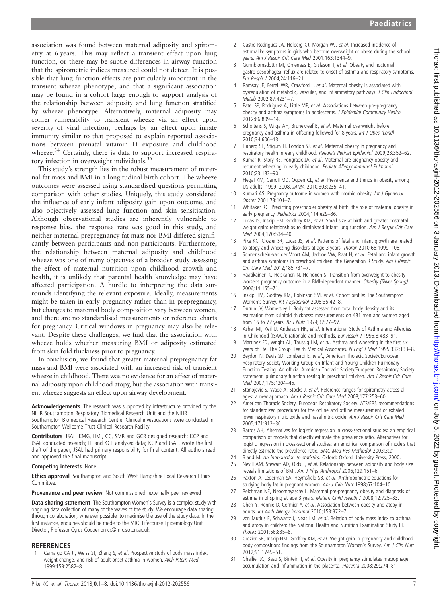association was found between maternal adiposity and spirometry at 6 years. This may reflect a transient effect upon lung function, or there may be subtle differences in airway function that the spirometric indices measured could not detect. It is possible that lung function effects are particularly important in the transient wheeze phenotype, and that a significant association may be found in a cohort large enough to support analysis of the relationship between adiposity and lung function stratified by wheeze phenotype. Alternatively, maternal adiposity may confer vulnerability to transient wheeze via an effect upon severity of viral infection, perhaps by an effect upon innate immunity similar to that proposed to explain reported associations between prenatal vitamin D exposure and childhood wheeze.<sup>34</sup> Certainly, there is data to support increased respiratory infection in overweight individuals.<sup>3</sup>

This study's strength lies in the robust measurement of maternal fat mass and BMI in a longitudinal birth cohort. The wheeze outcomes were assessed using standardised questions permitting comparison with other studies. Uniquely, this study considered the influence of early infant adiposity gain upon outcome, and also objectively assessed lung function and skin sensitisation. Although observational studies are inherently vulnerable to response bias, the response rate was good in this study, and neither maternal prepregnancy fat mass nor BMI differed significantly between participants and non-participants. Furthermore, the relationship between maternal adiposity and childhood wheeze was one of many objectives of a broader study assessing the effect of maternal nutrition upon childhood growth and health, it is unlikely that parental health knowledge may have affected participation. A hurdle to interpreting the data surrounds identifying the relevant exposure. Ideally, measurements might be taken in early pregnancy rather than in prepregnancy, but changes to maternal body composition vary between women, and there are no standardised measurements or reference charts for pregnancy. Critical windows in pregnancy may also be relevant. Despite these challenges, we find that the association with wheeze holds whether measuring BMI or adiposity estimated from skin fold thickness prior to pregnancy.

In conclusion, we found that greater maternal prepregnancy fat mass and BMI were associated with an increased risk of transient wheeze in childhood. There was no evidence for an effect of maternal adiposity upon childhood atopy, but the association with transient wheeze suggests an effect upon airway development.

Acknowledgements The research was supported by infrastructure provided by the NIHR Southampton Respiratory Biomedical Research Unit and the NIHR Southampton Biomedical Research Centre. Clinical investigations were conducted in Southampton Wellcome Trust Clinical Research Facility.

Contributors JSAL, KMG, HMI, CC, SMR and GCR designed research; KCP and JSAL conducted research; HI and KCP analysed data; KCP and JSAL, wrote the first draft of the paper; JSAL had primary responsibility for final content. All authors read and approved the final manuscript.

#### Competing interests None.

**Ethics approval** Southampton and South West Hampshire Local Research Ethics Committee.

#### Provenance and peer review Not commissioned; externally peer reviewed

Data sharing statement The Southampton Women's Survey is a complex study with ongoing data collection of many of the waves of the study. We encourage data sharing through collaboration, wherever possible, to maximise the use of the study data. In the first instance, enquiries should be made to the MRC Lifecourse Epidemiology Unit Director, Professor Cyrus Cooper on cc@mrc.soton.ac.uk.

#### REFERENCES

Camargo CA Jr, Weiss ST, Zhang S, et al. Prospective study of body mass index, weight change, and risk of adult-onset asthma in women. Arch Intern Med 1999;159:2582–8.

- 2 Castro-Rodriguez JA, Holberg CJ, Morgan WJ, et al. Increased incidence of asthmalike symptoms in girls who become overweight or obese during the school years. Am J Respir Crit Care Med 2001;163:1344–9.
- 3 Gunnbjornsdottir MI, Omenaas E, Gislason T, et al. Obesity and nocturnal gastro-oesophageal reflux are related to onset of asthma and respiratory symptoms. Eur Respir J 2004;24:116–21.
- Ramsay JE, Ferrell WR, Crawford L, et al. Maternal obesity is associated with dysregulation of metabolic, vascular, and inflammatory pathways. J Clin Endocrinol Metab 2002;87:4231–7.
- 5 Patel SP, Rodriguez A, Little MP, et al. Associations between pre-pregnancy obesity and asthma symptoms in adolescents. J Epidemiol Community Health 2012;66:809–14.
- 6 Scholtens S, Wijga AH, Brunekreef B, et al. Maternal overweight before pregnancy and asthma in offspring followed for 8 years. Int J Obes (Lond) 2010;34:606–13.
- 7 Haberg SE, Stigum H, London SJ, et al. Maternal obesity in pregnancy and respiratory health in early childhood. Paediatr Perinat Epidemiol 2009;23:352–62.
- 8 Kumar R, Story RE, Pongracic JA, et al. Maternal pre-pregnancy obesity and recurrent wheezing in early childhood. Pediatr Allergy Immunol Pulmonol 2010;23:183–90.
- 9 Flegal KM, Carroll MD, Ogden CL, et al. Prevalence and trends in obesity among US adults, 1999–2008. JAMA 2010;303:235–41.
- 10 Kumari AS. Pregnancy outcome in women with morbid obesity. Int J Gynaecol Obstet 2001;73:101–7.
- 11 Whitaker RC. Predicting preschooler obesity at birth: the role of maternal obesity in early pregnancy. Pediatrics 2004;114:e29–36.
- Lucas JS, Inskip HM, Godfrey KM, et al. Small size at birth and greater postnatal weight gain: relationships to diminished infant lung function. Am J Respir Crit Care Med 2004;170:534–40.
- 13 Pike KC, Crozier SR, Lucas JS, et al. Patterns of fetal and infant growth are related to atopy and wheezing disorders at age 3 years. Thorax 2010;65:1099–106.
- 14 Sonnenschein-van der Voort AM, Jaddoe VW, Raat H, et al. Fetal and infant growth and asthma symptoms in preschool children: the Generation R Study. Am J Respir Crit Care Med 2012;185:731–7.
- 15 Raatikainen K, Heiskanen N, Heinonen S. Transition from overweight to obesity worsens pregnancy outcome in a BMI-dependent manner. Obesity (Silver Spring) 2006;14:165–71.
- 16 Inskip HM, Godfrey KM, Robinson SM, et al. Cohort profile: The Southampton Women's Survey. Int J Epidemiol 2006;35:42–8.
- 17 Durnin JV, Womersley J. Body fat assessed from total body density and its estimation from skinfold thickness: measurements on 481 men and women aged from 16 to 72 years. Br J Nutr 1974;32:77–97.
- 18 Asher MI, Keil U, Anderson HR, et al. International Study of Asthma and Allergies in Childhood (ISAAC): rationale and methods. Eur Respir J 1995;8:483-91.
- 19 Martinez FD, Wright AL, Taussig LM, et al. Asthma and wheezing in the first six years of life. The Group Health Medical Associates. N Engl J Med 1995:332:133-8.
- 20 Beydon N, Davis SD, Lombardi E, et al., American Thoracic Society/European Respiratory Society Working Group on Infant and Young Children Pulmonary Function Testing. An official American Thoracic Society/European Respiratory Society statement: pulmonary function testing in preschool children. Am J Respir Crit Care Med 2007;175:1304–45.
- 21 Stanojevic S, Wade A, Stocks J, et al. Reference ranges for spirometry across all ages: a new approach. Am J Respir Crit Care Med 2008;177:253–60.
- 22 American Thoracic Society, European Respiratory Society. ATS/ERS recommendations for standardized procedures for the online and offline measurement of exhaled lower respiratory nitric oxide and nasal nitric oxide. Am J Respir Crit Care Med 2005;171:912–30.
- 23 Barros AH, Alternatives for logistic regression in cross-sectional studies: an empirical comparison of models that directly estimate the prevalence ratio. Alternatives for logistic regression in cross-sectional studies: an empirical comparison of models that directly estimate the prevalence ratio. BMC Med Res Methodol 2003;3:21.
- Bland M. An introduction to statistics. Oxford: Oxford University Press, 2000.
- 25 Nevill AM, Stewart AD, Olds T, et al. Relationship between adiposity and body size reveals limitations of BMI. Am J Phys Anthropol 2006;129:151–6.
- 26 Paxton A, Lederman SA, Heymsfield SB, et al. Anthropometric equations for studying body fat in pregnant women. Am J Clin Nutr 1998;67:104–10.
- 27 Reichman NE, Nepomnyaschy L. Maternal pre-pregnancy obesity and diagnosis of asthma in offspring at age 3 years. Matern Child Health J 2008;12:725-33.
- 28 Chen Y, Rennie D, Cormier Y, et al. Association between obesity and atopy in adults. Int Arch Allergy Immunol 2010;153:372–7.
- 29 von Mutius E, Schwartz J, Neas LM, et al. Relation of body mass index to asthma and atopy in children: the National Health and Nutrition Examination Study III. Thorax 2001;56:835–8.
- 30 Crozier SR, Inskip HM, Godfrey KM, et al. Weight gain in pregnancy and childhood body composition: findings from the Southampton Women's Survey. Am J Clin Nutr 2012;91:1745–51.
- 31 Challier JC, Basu S, Bintein T, et al. Obesity in pregnancy stimulates macrophage accumulation and inflammation in the placenta. Placenta 2008;29:274–81.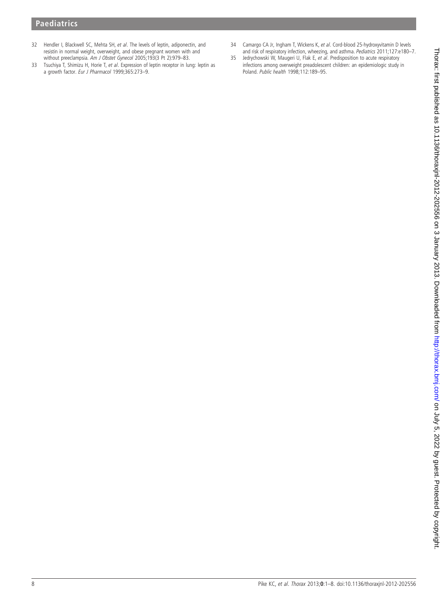## **Paediatrics**

- 32 Hendler I, Blackwell SC, Mehta SH, et al. The levels of leptin, adiponectin, and resistin in normal weight, overweight, and obese pregnant women with and without preeclampsia. Am J Obstet Gynecol 2005;193(3 Pt 2):979–83.
- 33 Tsuchiya T, Shimizu H, Horie T, et al. Expression of leptin receptor in lung: leptin as a growth factor. Eur J Pharmacol 1999;365:273–9.
- 34 Camargo CA Jr, Ingham T, Wickens K, et al. Cord-blood 25-hydroxyvitamin D levels and risk of respiratory infection, wheezing, and asthma. Pediatrics 2011;127:e180–7.
- 35 Jedrychowski W, Maugeri U, Flak E, et al. Predisposition to acute respiratory infections among overweight preadolescent children: an epidemiologic study in Poland. Public health 1998;112:189–95.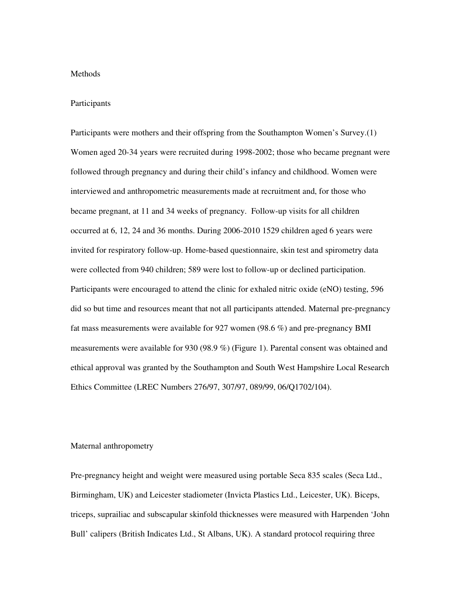## Methods

## Participants

Participants were mothers and their offspring from the Southampton Women's Survey.(1) Women aged 20-34 years were recruited during 1998-2002; those who became pregnant were followed through pregnancy and during their child's infancy and childhood. Women were interviewed and anthropometric measurements made at recruitment and, for those who became pregnant, at 11 and 34 weeks of pregnancy. Follow-up visits for all children occurred at 6, 12, 24 and 36 months. During 2006-2010 1529 children aged 6 years were invited for respiratory follow-up. Home-based questionnaire, skin test and spirometry data were collected from 940 children; 589 were lost to follow-up or declined participation. Participants were encouraged to attend the clinic for exhaled nitric oxide (eNO) testing, 596 did so but time and resources meant that not all participants attended. Maternal pre-pregnancy fat mass measurements were available for 927 women (98.6 %) and pre-pregnancy BMI measurements were available for 930 (98.9 %) (Figure 1). Parental consent was obtained and ethical approval was granted by the Southampton and South West Hampshire Local Research Ethics Committee (LREC Numbers 276/97, 307/97, 089/99, 06/Q1702/104).

#### Maternal anthropometry

Pre-pregnancy height and weight were measured using portable Seca 835 scales (Seca Ltd., Birmingham, UK) and Leicester stadiometer (Invicta Plastics Ltd., Leicester, UK). Biceps, triceps, suprailiac and subscapular skinfold thicknesses were measured with Harpenden 'John Bull' calipers (British Indicates Ltd., St Albans, UK). A standard protocol requiring three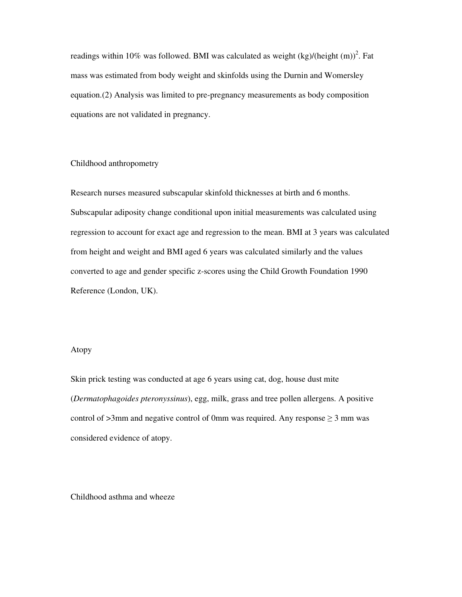readings within 10% was followed. BMI was calculated as weight  $(kg)/(height (m))^{2}$ . Fat mass was estimated from body weight and skinfolds using the Durnin and Womersley equation.(2) Analysis was limited to pre-pregnancy measurements as body composition equations are not validated in pregnancy.

## Childhood anthropometry

Research nurses measured subscapular skinfold thicknesses at birth and 6 months. Subscapular adiposity change conditional upon initial measurements was calculated using regression to account for exact age and regression to the mean. BMI at 3 years was calculated from height and weight and BMI aged 6 years was calculated similarly and the values converted to age and gender specific z-scores using the Child Growth Foundation 1990 Reference (London, UK).

## Atopy

Skin prick testing was conducted at age 6 years using cat, dog, house dust mite (*Dermatophagoides pteronyssinus*), egg, milk, grass and tree pollen allergens. A positive control of  $>3$ mm and negative control of 0mm was required. Any response  $\geq 3$  mm was considered evidence of atopy.

Childhood asthma and wheeze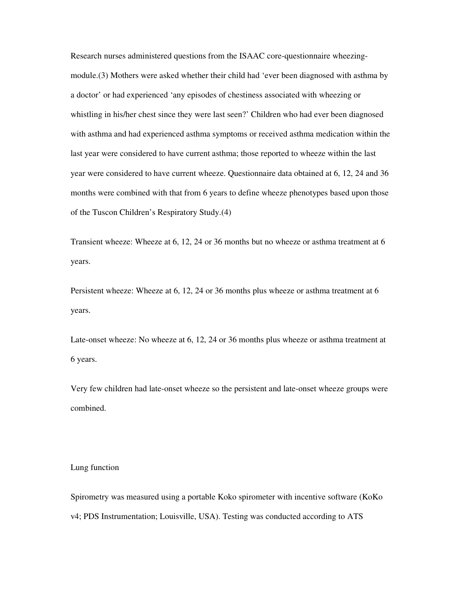Research nurses administered questions from the ISAAC core-questionnaire wheezingmodule.(3) Mothers were asked whether their child had 'ever been diagnosed with asthma by a doctor' or had experienced 'any episodes of chestiness associated with wheezing or whistling in his/her chest since they were last seen?' Children who had ever been diagnosed with asthma and had experienced asthma symptoms or received asthma medication within the last year were considered to have current asthma; those reported to wheeze within the last year were considered to have current wheeze. Questionnaire data obtained at 6, 12, 24 and 36 months were combined with that from 6 years to define wheeze phenotypes based upon those of the Tuscon Children's Respiratory Study.(4)

Transient wheeze: Wheeze at 6, 12, 24 or 36 months but no wheeze or asthma treatment at 6 years.

Persistent wheeze: Wheeze at 6, 12, 24 or 36 months plus wheeze or asthma treatment at 6 years.

Late-onset wheeze: No wheeze at 6, 12, 24 or 36 months plus wheeze or asthma treatment at 6 years.

Very few children had late-onset wheeze so the persistent and late-onset wheeze groups were combined.

#### Lung function

Spirometry was measured using a portable Koko spirometer with incentive software (KoKo v4; PDS Instrumentation; Louisville, USA). Testing was conducted according to ATS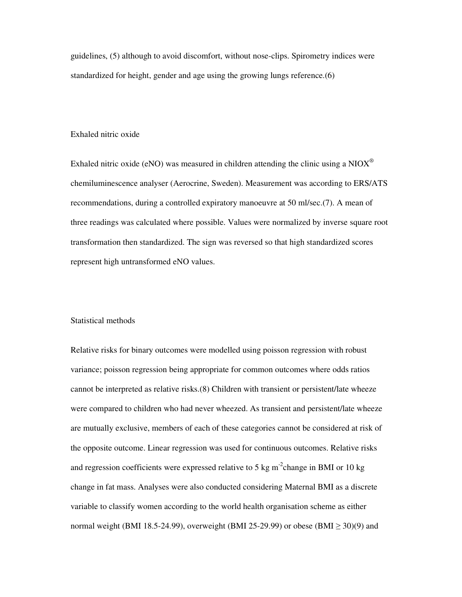guidelines, (5) although to avoid discomfort, without nose-clips. Spirometry indices were standardized for height, gender and age using the growing lungs reference.(6)

## Exhaled nitric oxide

Exhaled nitric oxide (eNO) was measured in children attending the clinic using a  $NIOX^{\circledcirc}$ chemiluminescence analyser (Aerocrine, Sweden). Measurement was according to ERS/ATS recommendations, during a controlled expiratory manoeuvre at 50 ml/sec.(7). A mean of three readings was calculated where possible. Values were normalized by inverse square root transformation then standardized. The sign was reversed so that high standardized scores represent high untransformed eNO values.

## Statistical methods

Relative risks for binary outcomes were modelled using poisson regression with robust variance; poisson regression being appropriate for common outcomes where odds ratios cannot be interpreted as relative risks.(8) Children with transient or persistent/late wheeze were compared to children who had never wheezed. As transient and persistent/late wheeze are mutually exclusive, members of each of these categories cannot be considered at risk of the opposite outcome. Linear regression was used for continuous outcomes. Relative risks and regression coefficients were expressed relative to 5 kg m<sup>-2</sup>change in BMI or 10 kg change in fat mass. Analyses were also conducted considering Maternal BMI as a discrete variable to classify women according to the world health organisation scheme as either normal weight (BMI 18.5-24.99), overweight (BMI 25-29.99) or obese (BMI  $\geq$  30)(9) and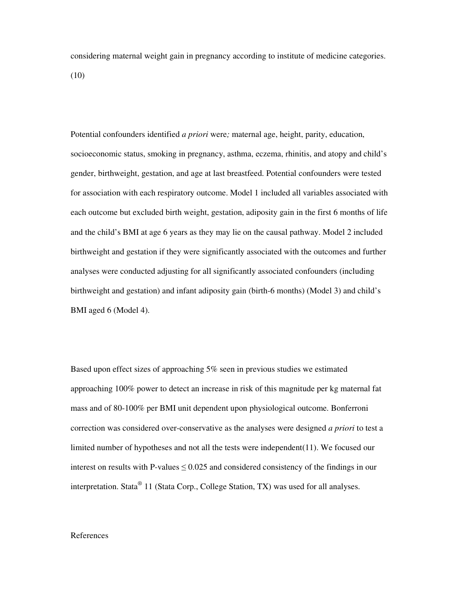considering maternal weight gain in pregnancy according to institute of medicine categories. (10)

Potential confounders identified *a priori* were*;* maternal age, height, parity, education, socioeconomic status, smoking in pregnancy, asthma, eczema, rhinitis, and atopy and child's gender, birthweight, gestation, and age at last breastfeed. Potential confounders were tested for association with each respiratory outcome. Model 1 included all variables associated with each outcome but excluded birth weight, gestation, adiposity gain in the first 6 months of life and the child's BMI at age 6 years as they may lie on the causal pathway. Model 2 included birthweight and gestation if they were significantly associated with the outcomes and further analyses were conducted adjusting for all significantly associated confounders (including birthweight and gestation) and infant adiposity gain (birth-6 months) (Model 3) and child's BMI aged 6 (Model 4).

Based upon effect sizes of approaching 5% seen in previous studies we estimated approaching 100% power to detect an increase in risk of this magnitude per kg maternal fat mass and of 80-100% per BMI unit dependent upon physiological outcome. Bonferroni correction was considered over-conservative as the analyses were designed *a priori* to test a limited number of hypotheses and not all the tests were independent(11). We focused our interest on results with P-values  $\leq 0.025$  and considered consistency of the findings in our interpretation. Stata<sup>®</sup> 11 (Stata Corp., College Station, TX) was used for all analyses.

## References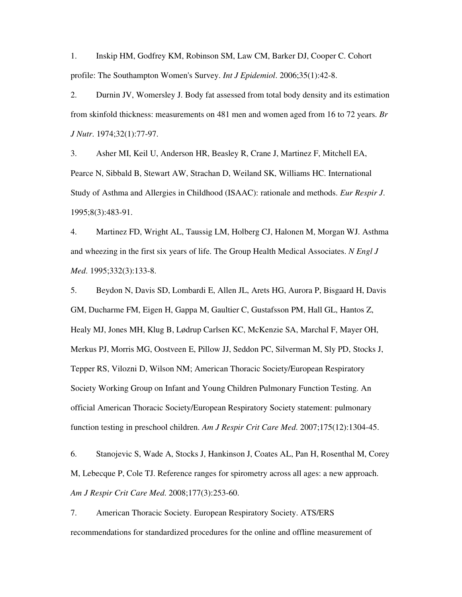1. Inskip HM, Godfrey KM, Robinson SM, Law CM, Barker DJ, Cooper C. Cohort profile: The Southampton Women's Survey. *Int J Epidemiol*. 2006;35(1):42-8.

2. Durnin JV, Womersley J. Body fat assessed from total body density and its estimation from skinfold thickness: measurements on 481 men and women aged from 16 to 72 years. *Br J Nutr*. 1974;32(1):77-97.

3. Asher MI, Keil U, Anderson HR, Beasley R, Crane J, Martinez F, Mitchell EA, Pearce N, Sibbald B, Stewart AW, Strachan D, Weiland SK, Williams HC. International Study of Asthma and Allergies in Childhood (ISAAC): rationale and methods. *Eur Respir J*. 1995;8(3):483-91.

4. Martinez FD, Wright AL, Taussig LM, Holberg CJ, Halonen M, Morgan WJ. Asthma and wheezing in the first six years of life. The Group Health Medical Associates. *N Engl J Med*. 1995;332(3):133-8.

5. Beydon N, Davis SD, Lombardi E, Allen JL, Arets HG, Aurora P, Bisgaard H, Davis GM, Ducharme FM, Eigen H, Gappa M, Gaultier C, Gustafsson PM, Hall GL, Hantos Z, Healy MJ, Jones MH, Klug B, Lødrup Carlsen KC, McKenzie SA, Marchal F, Mayer OH, Merkus PJ, Morris MG, Oostveen E, Pillow JJ, Seddon PC, Silverman M, Sly PD, Stocks J, Tepper RS, Vilozni D, Wilson NM; American Thoracic Society/European Respiratory Society Working Group on Infant and Young Children Pulmonary Function Testing. An official American Thoracic Society/European Respiratory Society statement: pulmonary function testing in preschool children. *Am J Respir Crit Care Med*. 2007;175(12):1304-45.

6. Stanojevic S, Wade A, Stocks J, Hankinson J, Coates AL, Pan H, Rosenthal M, Corey M, Lebecque P, Cole TJ. Reference ranges for spirometry across all ages: a new approach. *Am J Respir Crit Care Med*. 2008;177(3):253-60.

7. American Thoracic Society. European Respiratory Society. ATS/ERS recommendations for standardized procedures for the online and offline measurement of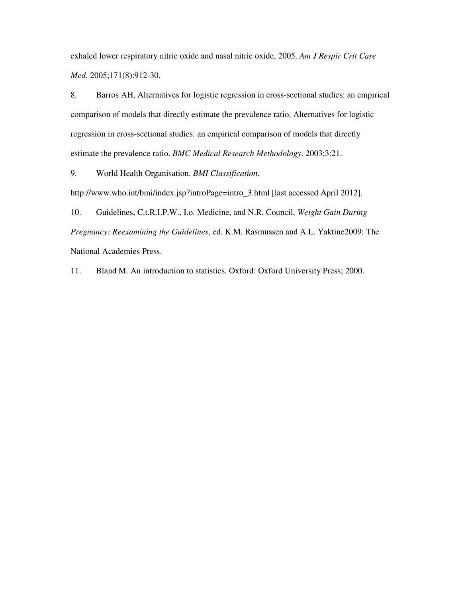exhaled lower respiratory nitric oxide and nasal nitric oxide, 2005. *Am J Respir Crit Care Med.* 2005;171(8):912-30.

8. Barros AH, Alternatives for logistic regression in cross-sectional studies: an empirical comparison of models that directly estimate the prevalence ratio. Alternatives for logistic regression in cross-sectional studies: an empirical comparison of models that directly estimate the prevalence ratio. *BMC Medical Research Methodology*. 2003;3:21.

9. World Health Organisation. *BMI Classification*.

http://www.who.int/bmi/index.jsp?introPage=intro\_3.html [last accessed April 2012].

10. Guidelines, C.t.R.I.P.W., I.o. Medicine, and N.R. Council, *Weight Gain During Pregnancy: Reexamining the Guidelines*, ed. K.M. Rasmussen and A.L. Yaktine2009: The National Academies Press.

11. Bland M. An introduction to statistics. Oxford: Oxford University Press; 2000.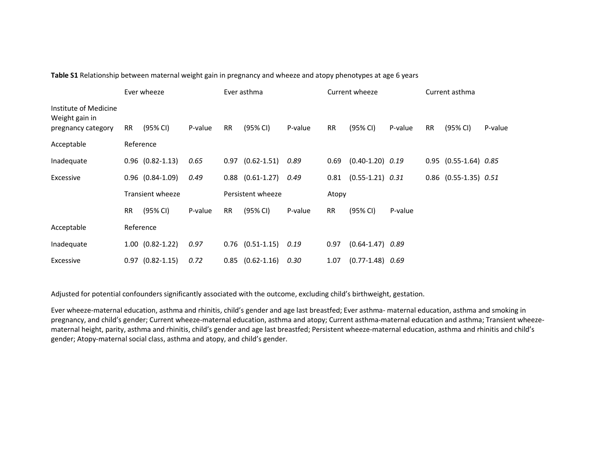|                                                               | Ever wheeze |                         |         | Ever asthma |                      |         |           | Current wheeze         |         | Current asthma |                             |         |
|---------------------------------------------------------------|-------------|-------------------------|---------|-------------|----------------------|---------|-----------|------------------------|---------|----------------|-----------------------------|---------|
| Institute of Medicine<br>Weight gain in<br>pregnancy category | <b>RR</b>   | (95% CI)                | P-value | <b>RR</b>   | (95% CI)             | P-value | <b>RR</b> | (95% CI)               | P-value | <b>RR</b>      | (95% CI)                    | P-value |
| Acceptable                                                    |             | Reference               |         |             |                      |         |           |                        |         |                |                             |         |
| Inadequate                                                    |             | $0.96$ $(0.82 - 1.13)$  | 0.65    | 0.97        | $(0.62 - 1.51)$      | 0.89    | 0.69      | $(0.40-1.20)$ 0.19     |         |                | $0.95$ $(0.55-1.64)$ $0.85$ |         |
| Excessive                                                     |             | $0.96$ $(0.84-1.09)$    | 0.49    |             | $0.88$ $(0.61-1.27)$ | 0.49    | 0.81      | $(0.55 - 1.21)$ $0.31$ |         |                | $0.86$ (0.55-1.35) $0.51$   |         |
|                                                               |             | <b>Transient wheeze</b> |         |             | Persistent wheeze    |         | Atopy     |                        |         |                |                             |         |
|                                                               | <b>RR</b>   | (95% CI)                | P-value | <b>RR</b>   | (95% CI)             | P-value | <b>RR</b> | (95% CI)               | P-value |                |                             |         |
| Acceptable                                                    |             | Reference               |         |             |                      |         |           |                        |         |                |                             |         |
| Inadequate                                                    |             | $1.00$ $(0.82-1.22)$    | 0.97    |             | $0.76$ $(0.51-1.15)$ | 0.19    | 0.97      | $(0.64 - 1.47)$ 0.89   |         |                |                             |         |
| Excessive                                                     |             | $0.97$ $(0.82 - 1.15)$  | 0.72    | 0.85        | $(0.62 - 1.16)$      | 0.30    | 1.07      | $(0.77-1.48)$ 0.69     |         |                |                             |         |

Table S1 Relationship between maternal weight gain in pregnancy and wheeze and atopy phenotypes at age 6 years

Adjusted for potential confounders significantly associated with the outcome, excluding child's birthweight, gestation.

Ever wheeze-maternal education, asthma and rhinitis, child's gender and age last breastfed; Ever asthma- maternal education, asthma and smoking in pregnancy, and child's gender; Current wheeze-maternal education, asthma and atopy; Current asthma-maternal education and asthma; Transient wheezematernal height, parity, asthma and rhinitis, child's gender and age last breastfed; Persistent wheeze-maternal education, asthma and rhinitis and child's gender; Atopy-maternal social class, asthma and atopy, and child's gender.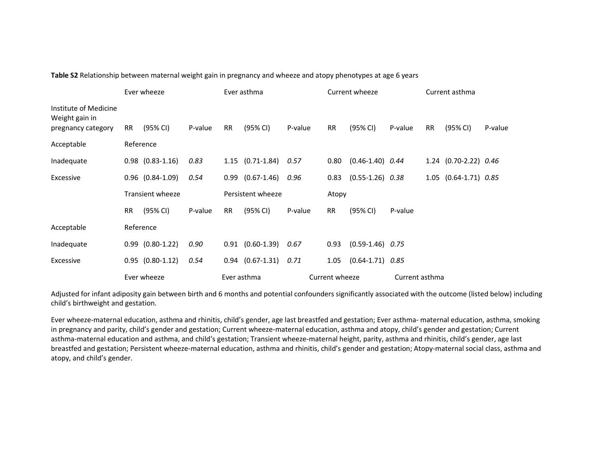|                                                               | Ever wheeze |                         |         | Ever asthma |                      |         | Current wheeze |                      |                | Current asthma |                       |         |
|---------------------------------------------------------------|-------------|-------------------------|---------|-------------|----------------------|---------|----------------|----------------------|----------------|----------------|-----------------------|---------|
| Institute of Medicine<br>Weight gain in<br>pregnancy category | <b>RR</b>   | (95% CI)                | P-value | <b>RR</b>   | (95% CI)             | P-value | <b>RR</b>      | (95% CI)             | P-value        | <b>RR</b>      | (95% CI)              | P-value |
| Acceptable                                                    | Reference   |                         |         |             |                      |         |                |                      |                |                |                       |         |
| Inadequate                                                    |             | $0.98$ $(0.83-1.16)$    | 0.83    |             | $1.15$ $(0.71-1.84)$ | 0.57    | 0.80           | $(0.46-1.40)$ 0.44   |                |                | 1.24 (0.70-2.22) 0.46 |         |
| Excessive                                                     |             | $0.96$ $(0.84-1.09)$    | 0.54    |             | $0.99$ $(0.67-1.46)$ | 0.96    | 0.83           | $(0.55 - 1.26)$ 0.38 |                |                | 1.05 (0.64-1.71) 0.85 |         |
|                                                               |             | <b>Transient wheeze</b> |         |             | Persistent wheeze    |         |                | Atopy                |                |                |                       |         |
|                                                               | <b>RR</b>   | (95% CI)                | P-value | <b>RR</b>   | (95% CI)             | P-value | <b>RR</b>      | (95% CI)             | P-value        |                |                       |         |
| Acceptable                                                    |             | Reference               |         |             |                      |         |                |                      |                |                |                       |         |
| Inadequate                                                    |             | $0.99$ $(0.80-1.22)$    | 0.90    | 0.91        | $(0.60 - 1.39)$      | 0.67    | 0.93           | $(0.59-1.46)$ 0.75   |                |                |                       |         |
| Excessive                                                     |             | $0.95$ $(0.80-1.12)$    | 0.54    |             | $0.94$ $(0.67-1.31)$ | 0.71    | 1.05           | $(0.64 - 1.71)$ 0.85 |                |                |                       |         |
|                                                               | Ever wheeze |                         |         | Ever asthma |                      |         | Current wheeze |                      | Current asthma |                |                       |         |

Table S2 Relationship between maternal weight gain in pregnancy and wheeze and atopy phenotypes at age 6 years

Adjusted for infant adiposity gain between birth and 6 months and potential confounders significantly associated with the outcome (listed below) including child's birthweight and gestation.

Ever wheeze-maternal education, asthma and rhinitis, child's gender, age last breastfed and gestation; Ever asthma- maternal education, asthma, smoking in pregnancy and parity, child's gender and gestation; Current wheeze-maternal education, asthma and atopy, child's gender and gestation; Current asthma-maternal education and asthma, and child's gestation; Transient wheeze-maternal height, parity, asthma and rhinitis, child's gender, age last breastfed and gestation; Persistent wheeze-maternal education, asthma and rhinitis, child's gender and gestation; Atopy-maternal social class, asthma andatopy, and child's gender.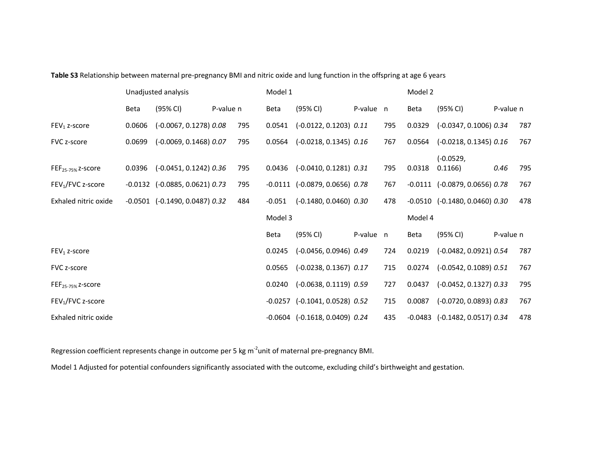|                                           |        | Unadjusted analysis                                              |           |            | Model 1  |                                                                    |           | Model 2    |         |                                                               |           |            |
|-------------------------------------------|--------|------------------------------------------------------------------|-----------|------------|----------|--------------------------------------------------------------------|-----------|------------|---------|---------------------------------------------------------------|-----------|------------|
|                                           | Beta   | (95% CI)                                                         | P-value n |            | Beta     | (95% CI)                                                           | P-value n |            | Beta    | (95% CI)                                                      | P-value n |            |
| $FEV1$ z-score                            | 0.0606 | $(-0.0067, 0.1278)$ $0.08$                                       |           | 795        | 0.0541   | $(-0.0122, 0.1203)$ $0.11$                                         |           | 795        | 0.0329  | $(-0.0347, 0.1006)$ $0.34$                                    |           | 787        |
| FVC z-score                               | 0.0699 | $(-0.0069, 0.1468)$ $0.07$                                       |           | 795        | 0.0564   | $(-0.0218, 0.1345)$ $0.16$                                         |           | 767        | 0.0564  | $(-0.0218, 0.1345)$ $0.16$                                    |           | 767        |
| $FEF25-75%$ z-score<br>$FEV1/FVC$ z-score | 0.0396 | $(-0.0451, 0.1242)$ $0.36$<br>$-0.0132$ $(-0.0885, 0.0621)$ 0.73 |           | 795<br>795 | 0.0436   | $(-0.0410, 0.1281)$ $0.31$<br>$-0.0111$ $(-0.0879, 0.0656)$ $0.78$ |           | 795<br>767 | 0.0318  | $(-0.0529,$<br>0.1166<br>$-0.0111$ $(-0.0879, 0.0656)$ $0.78$ | 0.46      | 795<br>767 |
| Exhaled nitric oxide                      |        | $-0.0501$ $(-0.1490, 0.0487)$ $0.32$                             |           | 484        | $-0.051$ | $(-0.1480, 0.0460)$ $0.30$                                         |           | 478        |         | $-0.0510$ $(-0.1480, 0.0460)$ $0.30$                          |           | 478        |
|                                           |        |                                                                  |           |            | Model 3  |                                                                    |           |            | Model 4 |                                                               |           |            |
|                                           |        |                                                                  |           |            | Beta     | (95% CI)                                                           | P-value n |            | Beta    | (95% CI)                                                      | P-value n |            |
| $FEV1$ z-score                            |        |                                                                  |           |            | 0.0245   | $(-0.0456, 0.0946)$ $0.49$                                         |           | 724        | 0.0219  | $(-0.0482, 0.0921)$ $0.54$                                    |           | 787        |
| FVC z-score                               |        |                                                                  |           |            | 0.0565   | $(-0.0238, 0.1367)$ 0.17                                           |           | 715        | 0.0274  | $(-0.0542, 0.1089) 0.51$                                      |           | 767        |
| $FEF25-75%$ z-score                       |        |                                                                  |           |            | 0.0240   | $(-0.0638, 0.1119)$ $0.59$                                         |           | 727        | 0.0437  | $(-0.0452, 0.1327)$ $0.33$                                    |           | 795        |
| $FEV1/FVC$ z-score                        |        |                                                                  |           |            |          | $-0.0257$ $(-0.1041, 0.0528)$ 0.52                                 |           | 715        | 0.0087  | $(-0.0720, 0.0893)$ $0.83$                                    |           | 767        |
| Exhaled nitric oxide                      |        |                                                                  |           |            |          | $-0.0604$ $(-0.1618, 0.0409)$ $0.24$                               |           | 435        |         | $-0.0483$ $(-0.1482, 0.0517)$ 0.34                            |           | 478        |

Table S3 Relationship between maternal pre-pregnancy BMI and nitric oxide and lung function in the offspring at age 6 years

Regression coefficient represents change in outcome per 5 kg m<sup>-2</sup>unit of maternal pre-pregnancy BMI.

Model 1 Adjusted for potential confounders significantly associated with the outcome, excluding child's birthweight and gestation.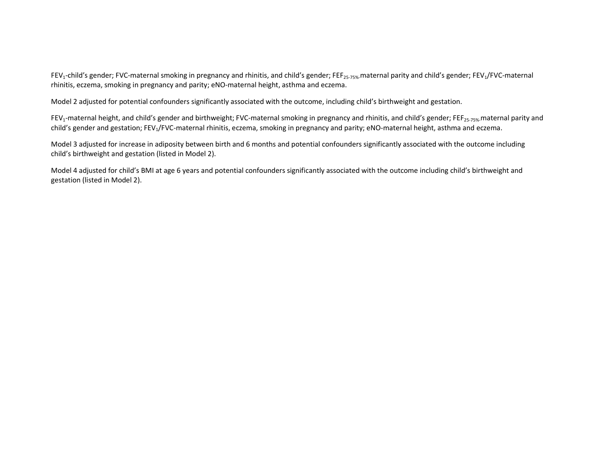FEV<sub>1</sub>-child's gender; FVC-maternal smoking in pregnancy and rhinitis, and child's gender; FEF<sub>25-75%</sub> maternal parity and child's gender; FEV<sub>1</sub>/FVC-maternal rhinitis, eczema, smoking in pregnancy and parity; eNO-maternal height, asthma and eczema.

Model 2 adjusted for potential confounders significantly associated with the outcome, including child's birthweight and gestation.

FEV<sub>1</sub>-maternal height, and child's gender and birthweight; FVC-maternal smoking in pregnancy and rhinitis, and child's gender; FEF<sub>25-75%</sub>-maternal parity and child's gender and gestation; FEV<sub>1</sub>/FVC-maternal rhinitis, eczema, smoking in pregnancy and parity; eNO-maternal height, asthma and eczema.

Model 3 adjusted for increase in adiposity between birth and 6 months and potential confounders significantly associated with the outcome including child's birthweight and gestation (listed in Model 2).

Model 4 adjusted for child's BMI at age 6 years and potential confounders significantly associated with the outcome including child's birthweight and gestation (listed in Model 2).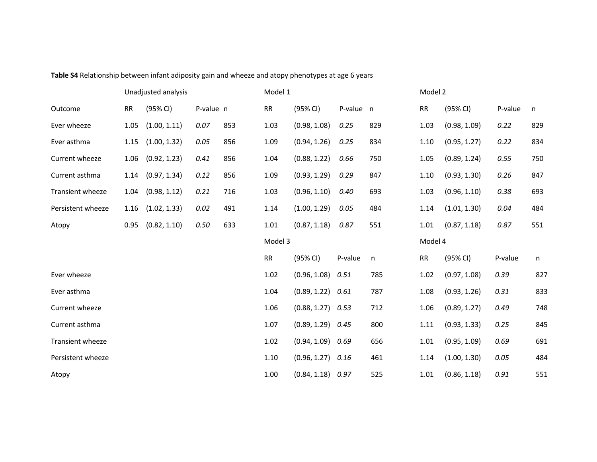|                   | Unadjusted analysis |              |           | Model 1 |            |              |           |     | Model 2 |              |         |     |  |
|-------------------|---------------------|--------------|-----------|---------|------------|--------------|-----------|-----|---------|--------------|---------|-----|--|
| Outcome           | <b>RR</b>           | (95% CI)     | P-value n |         | RR         | (95% CI)     | P-value n |     | RR      | (95% CI)     | P-value | n   |  |
| Ever wheeze       | 1.05                | (1.00, 1.11) | 0.07      | 853     | 1.03       | (0.98, 1.08) | 0.25      | 829 | 1.03    | (0.98, 1.09) | 0.22    | 829 |  |
| Ever asthma       | 1.15                | (1.00, 1.32) | 0.05      | 856     | 1.09       | (0.94, 1.26) | 0.25      | 834 | 1.10    | (0.95, 1.27) | 0.22    | 834 |  |
| Current wheeze    | 1.06                | (0.92, 1.23) | 0.41      | 856     | 1.04       | (0.88, 1.22) | 0.66      | 750 | 1.05    | (0.89, 1.24) | 0.55    | 750 |  |
| Current asthma    | 1.14                | (0.97, 1.34) | 0.12      | 856     | 1.09       | (0.93, 1.29) | 0.29      | 847 | 1.10    | (0.93, 1.30) | 0.26    | 847 |  |
| Transient wheeze  | 1.04                | (0.98, 1.12) | 0.21      | 716     | 1.03       | (0.96, 1.10) | 0.40      | 693 | 1.03    | (0.96, 1.10) | 0.38    | 693 |  |
| Persistent wheeze | 1.16                | (1.02, 1.33) | 0.02      | 491     | 1.14       | (1.00, 1.29) | 0.05      | 484 | 1.14    | (1.01, 1.30) | 0.04    | 484 |  |
| Atopy             | 0.95                | (0.82, 1.10) | 0.50      | 633     | 1.01       | (0.87, 1.18) | 0.87      | 551 | 1.01    | (0.87, 1.18) | 0.87    | 551 |  |
|                   |                     |              |           |         | Model 3    |              |           |     |         |              |         |     |  |
|                   |                     |              |           |         |            |              |           |     | Model 4 |              |         |     |  |
|                   |                     |              |           |         | ${\sf RR}$ | (95% CI)     | P-value   | n   | RR      | (95% CI)     | P-value | n   |  |
| Ever wheeze       |                     |              |           |         | 1.02       | (0.96, 1.08) | 0.51      | 785 | 1.02    | (0.97, 1.08) | 0.39    | 827 |  |
| Ever asthma       |                     |              |           |         | 1.04       | (0.89, 1.22) | 0.61      | 787 | 1.08    | (0.93, 1.26) | 0.31    | 833 |  |
| Current wheeze    |                     |              |           |         | 1.06       | (0.88, 1.27) | 0.53      | 712 | 1.06    | (0.89, 1.27) | 0.49    | 748 |  |
| Current asthma    |                     |              |           |         | 1.07       | (0.89, 1.29) | 0.45      | 800 | 1.11    | (0.93, 1.33) | 0.25    | 845 |  |
| Transient wheeze  |                     |              |           |         | 1.02       | (0.94, 1.09) | 0.69      | 656 | 1.01    | (0.95, 1.09) | 0.69    | 691 |  |
| Persistent wheeze |                     |              |           |         | 1.10       | (0.96, 1.27) | 0.16      | 461 | 1.14    | (1.00, 1.30) | 0.05    | 484 |  |

Table S4 Relationship between infant adiposity gain and wheeze and atopy phenotypes at age 6 years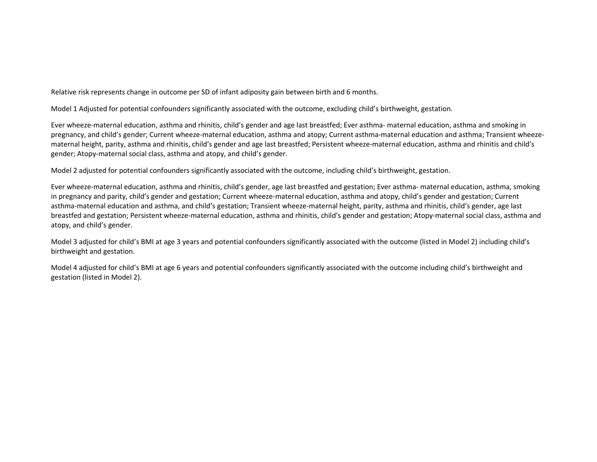Relative risk represents change in outcome per SD of infant adiposity gain between birth and 6 months.

Model 1 Adjusted for potential confounders significantly associated with the outcome, excluding child's birthweight, gestation.

Ever wheeze-maternal education, asthma and rhinitis, child's gender and age last breastfed; Ever asthma- maternal education, asthma and smoking in pregnancy, and child's gender; Current wheeze-maternal education, asthma and atopy; Current asthma-maternal education and asthma; Transient wheezematernal height, parity, asthma and rhinitis, child's gender and age last breastfed; Persistent wheeze-maternal education, asthma and rhinitis and child's gender; Atopy-maternal social class, asthma and atopy, and child's gender.

Model 2 adjusted for potential confounders significantly associated with the outcome, including child's birthweight, gestation.

Ever wheeze-maternal education, asthma and rhinitis, child's gender, age last breastfed and gestation; Ever asthma- maternal education, asthma, smoking in pregnancy and parity, child's gender and gestation; Current wheeze-maternal education, asthma and atopy, child's gender and gestation; Current asthma-maternal education and asthma, and child's gestation; Transient wheeze-maternal height, parity, asthma and rhinitis, child's gender, age last breastfed and gestation; Persistent wheeze-maternal education, asthma and rhinitis, child's gender and gestation; Atopy-maternal social class, asthma andatopy, and child's gender.

Model 3 adjusted for child's BMI at age 3 years and potential confounders significantly associated with the outcome (listed in Model 2) including child'sbirthweight and gestation.

Model 4 adjusted for child's BMI at age 6 years and potential confounders significantly associated with the outcome including child's birthweight and gestation (listed in Model 2).